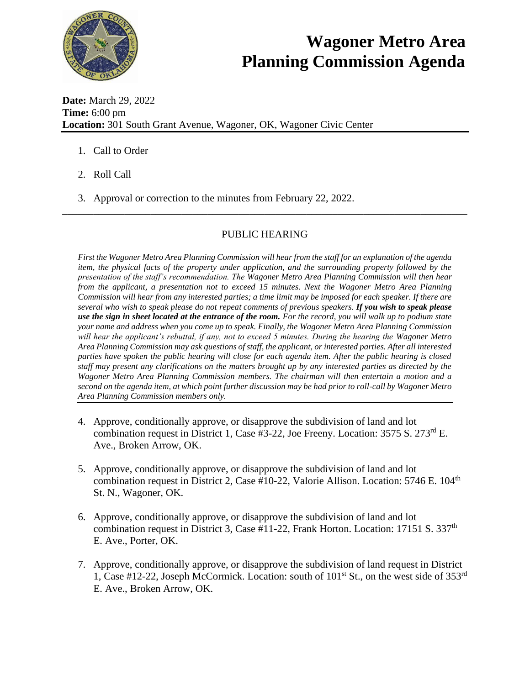

## **Wagoner Metro Area Planning Commission Agenda**

**Date:** March 29, 2022 **Time:** 6:00 pm **Location:** 301 South Grant Avenue, Wagoner, OK, Wagoner Civic Center

- 1. Call to Order
- 2. Roll Call
- 3. Approval or correction to the minutes from February 22, 2022.

## PUBLIC HEARING

\_\_\_\_\_\_\_\_\_\_\_\_\_\_\_\_\_\_\_\_\_\_\_\_\_\_\_\_\_\_\_\_\_\_\_\_\_\_\_\_\_\_\_\_\_\_\_\_\_\_\_\_\_\_\_\_\_\_\_\_\_\_\_\_\_\_\_\_\_\_\_\_\_\_\_\_\_\_

*First the Wagoner Metro Area Planning Commission will hear from the staff for an explanation of the agenda item, the physical facts of the property under application, and the surrounding property followed by the presentation of the staff's recommendation. The Wagoner Metro Area Planning Commission will then hear from the applicant, a presentation not to exceed 15 minutes. Next the Wagoner Metro Area Planning Commission will hear from any interested parties; a time limit may be imposed for each speaker. If there are several who wish to speak please do not repeat comments of previous speakers. If you wish to speak please use the sign in sheet located at the entrance of the room. For the record, you will walk up to podium state your name and address when you come up to speak. Finally, the Wagoner Metro Area Planning Commission will hear the applicant's rebuttal, if any, not to exceed 5 minutes. During the hearing the Wagoner Metro Area Planning Commission may ask questions of staff, the applicant, or interested parties. After all interested parties have spoken the public hearing will close for each agenda item. After the public hearing is closed staff may present any clarifications on the matters brought up by any interested parties as directed by the Wagoner Metro Area Planning Commission members. The chairman will then entertain a motion and a second on the agenda item, at which point further discussion may be had prior to roll-call by Wagoner Metro Area Planning Commission members only.* 

- 4. Approve, conditionally approve, or disapprove the subdivision of land and lot combination request in District 1, Case #3-22, Joe Freeny. Location: 3575 S. 273rd E. Ave., Broken Arrow, OK.
- 5. Approve, conditionally approve, or disapprove the subdivision of land and lot combination request in District 2, Case #10-22, Valorie Allison. Location:  $5746$  E.  $104<sup>th</sup>$ St. N., Wagoner, OK.
- 6. Approve, conditionally approve, or disapprove the subdivision of land and lot combination request in District 3, Case #11-22, Frank Horton. Location: 17151 S. 337<sup>th</sup> E. Ave., Porter, OK.
- 7. Approve, conditionally approve, or disapprove the subdivision of land request in District 1, Case #12-22, Joseph McCormick. Location: south of  $101<sup>st</sup>$  St., on the west side of  $353<sup>rd</sup>$ E. Ave., Broken Arrow, OK.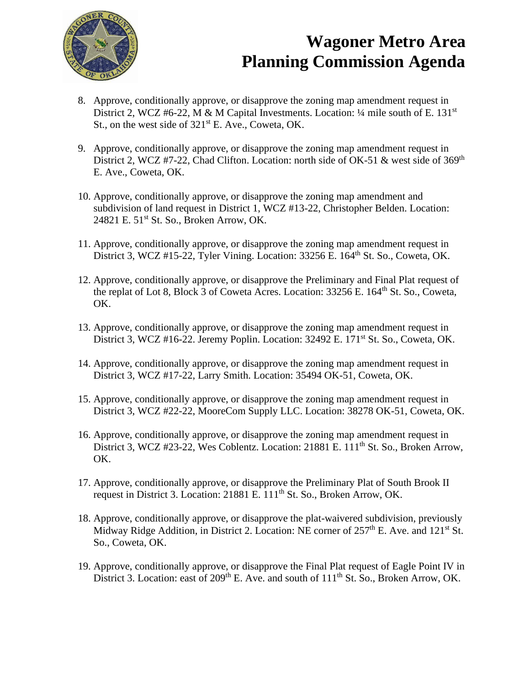

## **Wagoner Metro Area Planning Commission Agenda**

- 8. Approve, conditionally approve, or disapprove the zoning map amendment request in District 2, WCZ #6-22, M & M Capital Investments. Location:  $\frac{1}{4}$  mile south of E. 131<sup>st</sup> St., on the west side of  $321<sup>st</sup>$  E. Ave., Coweta, OK.
- 9. Approve, conditionally approve, or disapprove the zoning map amendment request in District 2, WCZ #7-22, Chad Clifton. Location: north side of OK-51 & west side of  $369<sup>th</sup>$ E. Ave., Coweta, OK.
- 10. Approve, conditionally approve, or disapprove the zoning map amendment and subdivision of land request in District 1, WCZ #13-22, Christopher Belden. Location: 24821 E. 51st St. So., Broken Arrow, OK.
- 11. Approve, conditionally approve, or disapprove the zoning map amendment request in District 3, WCZ #15-22, Tyler Vining. Location: 33256 E. 164<sup>th</sup> St. So., Coweta, OK.
- 12. Approve, conditionally approve, or disapprove the Preliminary and Final Plat request of the replat of Lot 8, Block 3 of Coweta Acres. Location: 33256 E. 164<sup>th</sup> St. So., Coweta, OK.
- 13. Approve, conditionally approve, or disapprove the zoning map amendment request in District 3, WCZ #16-22. Jeremy Poplin. Location: 32492 E. 171<sup>st</sup> St. So., Coweta, OK.
- 14. Approve, conditionally approve, or disapprove the zoning map amendment request in District 3, WCZ #17-22, Larry Smith. Location: 35494 OK-51, Coweta, OK.
- 15. Approve, conditionally approve, or disapprove the zoning map amendment request in District 3, WCZ #22-22, MooreCom Supply LLC. Location: 38278 OK-51, Coweta, OK.
- 16. Approve, conditionally approve, or disapprove the zoning map amendment request in District 3, WCZ #23-22, Wes Coblentz. Location: 21881 E. 111<sup>th</sup> St. So., Broken Arrow, OK.
- 17. Approve, conditionally approve, or disapprove the Preliminary Plat of South Brook II request in District 3. Location: 21881 E. 111<sup>th</sup> St. So., Broken Arrow, OK.
- 18. Approve, conditionally approve, or disapprove the plat-waivered subdivision, previously Midway Ridge Addition, in District 2. Location: NE corner of  $257<sup>th</sup>$  E. Ave. and  $121<sup>st</sup>$  St. So., Coweta, OK.
- 19. Approve, conditionally approve, or disapprove the Final Plat request of Eagle Point IV in District 3. Location: east of 209<sup>th</sup> E. Ave. and south of 111<sup>th</sup> St. So., Broken Arrow, OK.